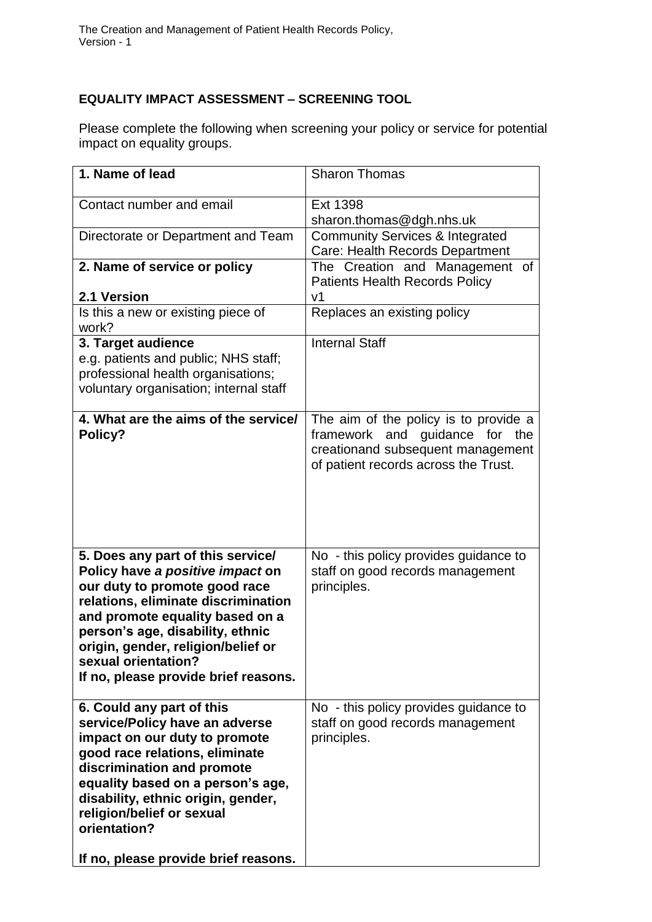## **EQUALITY IMPACT ASSESSMENT – SCREENING TOOL**

Please complete the following when screening your policy or service for potential impact on equality groups.

| 1. Name of lead                                                                                                                                                                                                                                                                                                           | <b>Sharon Thomas</b>                                                                                                                                    |
|---------------------------------------------------------------------------------------------------------------------------------------------------------------------------------------------------------------------------------------------------------------------------------------------------------------------------|---------------------------------------------------------------------------------------------------------------------------------------------------------|
| Contact number and email                                                                                                                                                                                                                                                                                                  | Ext 1398<br>sharon.thomas@dgh.nhs.uk                                                                                                                    |
| Directorate or Department and Team                                                                                                                                                                                                                                                                                        | <b>Community Services &amp; Integrated</b><br>Care: Health Records Department                                                                           |
| 2. Name of service or policy                                                                                                                                                                                                                                                                                              | The Creation and Management of<br><b>Patients Health Records Policy</b>                                                                                 |
| 2.1 Version                                                                                                                                                                                                                                                                                                               | V <sub>1</sub>                                                                                                                                          |
| Is this a new or existing piece of<br>work?                                                                                                                                                                                                                                                                               | Replaces an existing policy                                                                                                                             |
| 3. Target audience<br>e.g. patients and public; NHS staff;<br>professional health organisations;<br>voluntary organisation; internal staff                                                                                                                                                                                | <b>Internal Staff</b>                                                                                                                                   |
| 4. What are the aims of the service/<br>Policy?                                                                                                                                                                                                                                                                           | The aim of the policy is to provide a<br>framework and<br>quidance for the<br>creationand subsequent management<br>of patient records across the Trust. |
| 5. Does any part of this service/<br>Policy have a positive impact on<br>our duty to promote good race<br>relations, eliminate discrimination<br>and promote equality based on a<br>person's age, disability, ethnic<br>origin, gender, religion/belief or<br>sexual orientation?<br>If no, please provide brief reasons. | No - this policy provides guidance to<br>staff on good records management<br>principles.                                                                |
| 6. Could any part of this<br>service/Policy have an adverse<br>impact on our duty to promote<br>good race relations, eliminate<br>discrimination and promote<br>equality based on a person's age,<br>disability, ethnic origin, gender,<br>religion/belief or sexual<br>orientation?                                      | No - this policy provides guidance to<br>staff on good records management<br>principles.                                                                |
| If no, please provide brief reasons.                                                                                                                                                                                                                                                                                      |                                                                                                                                                         |